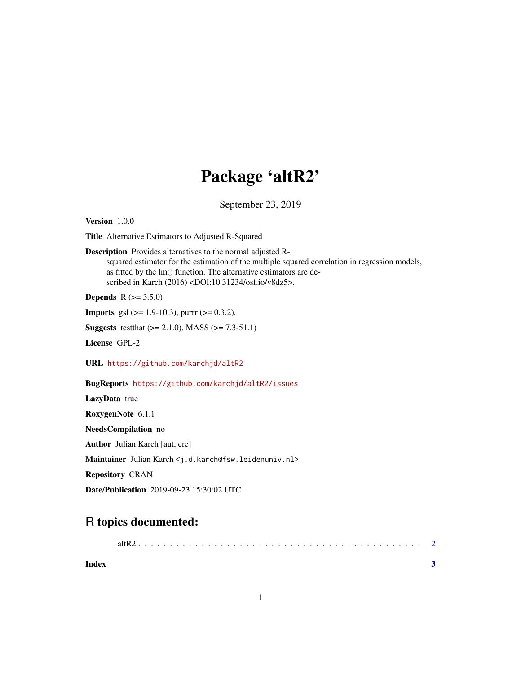## Package 'altR2'

September 23, 2019

<span id="page-0-0"></span>Version 1.0.0

Title Alternative Estimators to Adjusted R-Squared

Description Provides alternatives to the normal adjusted Rsquared estimator for the estimation of the multiple squared correlation in regression models, as fitted by the lm() function. The alternative estimators are described in Karch (2016) <DOI:10.31234/osf.io/v8dz5>.

**Depends** R  $(>= 3.5.0)$ 

**Imports** gsl  $(>= 1.9 - 10.3)$ , purrr  $(>= 0.3.2)$ ,

**Suggests** testthat  $(>= 2.1.0)$ , MASS  $(>= 7.3.51.1)$ 

License GPL-2

URL <https://github.com/karchjd/altR2>

BugReports <https://github.com/karchjd/altR2/issues>

LazyData true

RoxygenNote 6.1.1

NeedsCompilation no

Author Julian Karch [aut, cre]

Maintainer Julian Karch <j.d.karch@fsw.leidenuniv.nl>

Repository CRAN

Date/Publication 2019-09-23 15:30:02 UTC

### R topics documented:

1

**Index** [3](#page-2-0)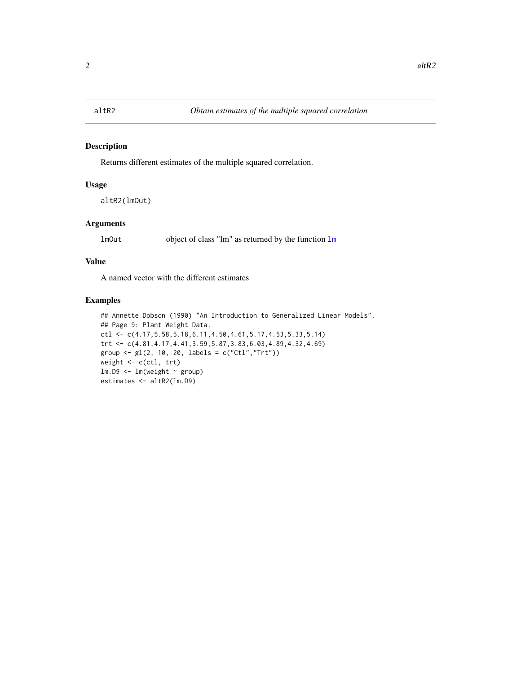#### <span id="page-1-0"></span>Description

Returns different estimates of the multiple squared correlation.

#### Usage

```
altR2(lmOut)
```
#### Arguments

lmOut object of class "lm" as returned by the function [lm](#page-0-0)

#### Value

A named vector with the different estimates

#### Examples

```
## Annette Dobson (1990) "An Introduction to Generalized Linear Models".
## Page 9: Plant Weight Data.
ctl <- c(4.17,5.58,5.18,6.11,4.50,4.61,5.17,4.53,5.33,5.14)
trt <- c(4.81,4.17,4.41,3.59,5.87,3.83,6.03,4.89,4.32,4.69)
group <- gl(2, 10, 20, labels = c("Ctl","Trt"))
weight <- c(ctl, trt)
lm.D9 \leftarrow lm(weight \sim group)estimates <- altR2(lm.D9)
```